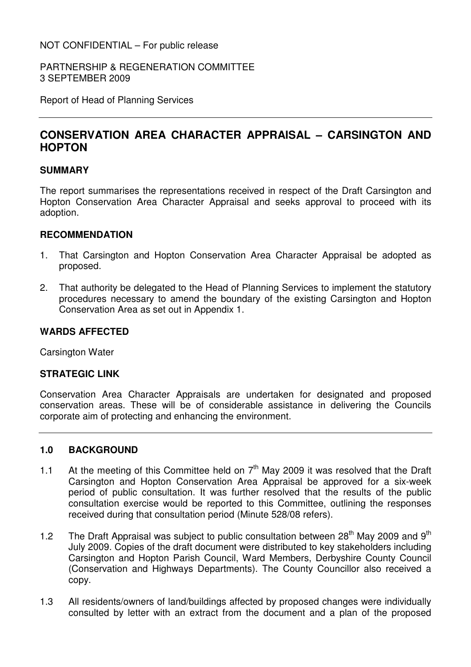PARTNERSHIP & REGENERATION COMMITTEE 3 SEPTEMBER 2009

Report of Head of Planning Services

# **CONSERVATION AREA CHARACTER APPRAISAL – CARSINGTON AND HOPTON**

#### **SUMMARY**

The report summarises the representations received in respect of the Draft Carsington and Hopton Conservation Area Character Appraisal and seeks approval to proceed with its adoption.

#### **RECOMMENDATION**

- 1. That Carsington and Hopton Conservation Area Character Appraisal be adopted as proposed.
- 2. That authority be delegated to the Head of Planning Services to implement the statutory procedures necessary to amend the boundary of the existing Carsington and Hopton Conservation Area as set out in Appendix 1.

#### **WARDS AFFECTED**

Carsington Water

#### **STRATEGIC LINK**

Conservation Area Character Appraisals are undertaken for designated and proposed conservation areas. These will be of considerable assistance in delivering the Councils corporate aim of protecting and enhancing the environment.

#### **1.0 BACKGROUND**

- 1.1 At the meeting of this Committee held on  $7<sup>th</sup>$  May 2009 it was resolved that the Draft Carsington and Hopton Conservation Area Appraisal be approved for a six-week period of public consultation. It was further resolved that the results of the public consultation exercise would be reported to this Committee, outlining the responses received during that consultation period (Minute 528/08 refers).
- 1.2 The Draft Appraisal was subject to public consultation between  $28<sup>th</sup>$  May 2009 and  $9<sup>th</sup>$ July 2009. Copies of the draft document were distributed to key stakeholders including Carsington and Hopton Parish Council, Ward Members, Derbyshire County Council (Conservation and Highways Departments). The County Councillor also received a copy.
- 1.3 All residents/owners of land/buildings affected by proposed changes were individually consulted by letter with an extract from the document and a plan of the proposed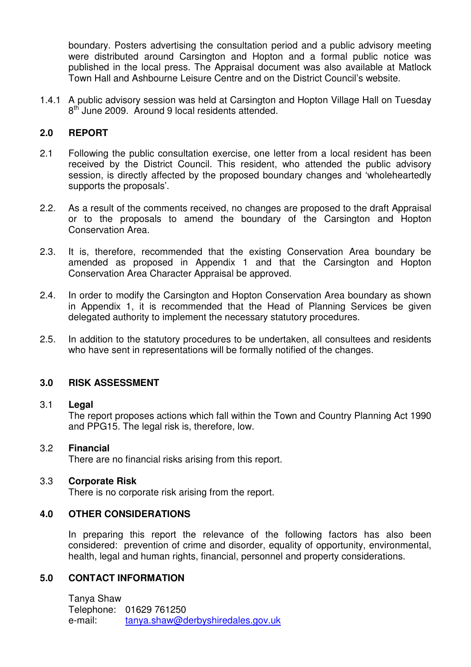boundary. Posters advertising the consultation period and a public advisory meeting were distributed around Carsington and Hopton and a formal public notice was published in the local press. The Appraisal document was also available at Matlock Town Hall and Ashbourne Leisure Centre and on the District Council's website.

1.4.1 A public advisory session was held at Carsington and Hopton Village Hall on Tuesday 8<sup>th</sup> June 2009. Around 9 local residents attended.

#### **2.0 REPORT**

- 2.1 Following the public consultation exercise, one letter from a local resident has been received by the District Council. This resident, who attended the public advisory session, is directly affected by the proposed boundary changes and 'wholeheartedly supports the proposals'.
- 2.2. As a result of the comments received, no changes are proposed to the draft Appraisal or to the proposals to amend the boundary of the Carsington and Hopton Conservation Area.
- 2.3. It is, therefore, recommended that the existing Conservation Area boundary be amended as proposed in Appendix 1 and that the Carsington and Hopton Conservation Area Character Appraisal be approved.
- 2.4. In order to modify the Carsington and Hopton Conservation Area boundary as shown in Appendix 1, it is recommended that the Head of Planning Services be given delegated authority to implement the necessary statutory procedures.
- 2.5. In addition to the statutory procedures to be undertaken, all consultees and residents who have sent in representations will be formally notified of the changes.

#### **3.0 RISK ASSESSMENT**

#### 3.1 **Legal**

 The report proposes actions which fall within the Town and Country Planning Act 1990 and PPG15. The legal risk is, therefore, low.

#### 3.2 **Financial**

There are no financial risks arising from this report.

#### 3.3 **Corporate Risk**

There is no corporate risk arising from the report.

#### **4.0 OTHER CONSIDERATIONS**

In preparing this report the relevance of the following factors has also been considered: prevention of crime and disorder, equality of opportunity, environmental, health, legal and human rights, financial, personnel and property considerations.

#### **5.0 CONTACT INFORMATION**

 Tanya Shaw Telephone: 01629 761250 e-mail: tanya.shaw@derbyshiredales.gov.uk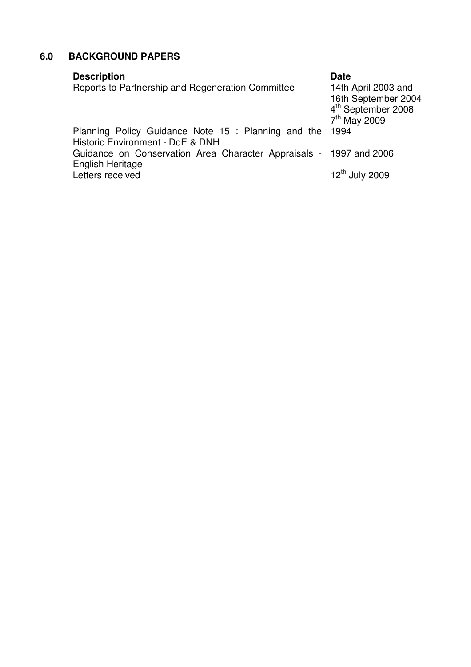# **6.0 BACKGROUND PAPERS**

| <b>Description</b><br>Reports to Partnership and Regeneration Committee                 | <b>Date</b><br>14th April 2003 and<br>16th September 2004<br>4 <sup>th</sup> September 2008<br>7 <sup>th</sup> May 2009 |
|-----------------------------------------------------------------------------------------|-------------------------------------------------------------------------------------------------------------------------|
| Planning Policy Guidance Note 15 : Planning and the<br>Historic Environment - DoE & DNH | 1994                                                                                                                    |
| Guidance on Conservation Area Character Appraisals - 1997 and 2006<br>English Heritage  |                                                                                                                         |
| Letters received                                                                        | $12th$ July 2009                                                                                                        |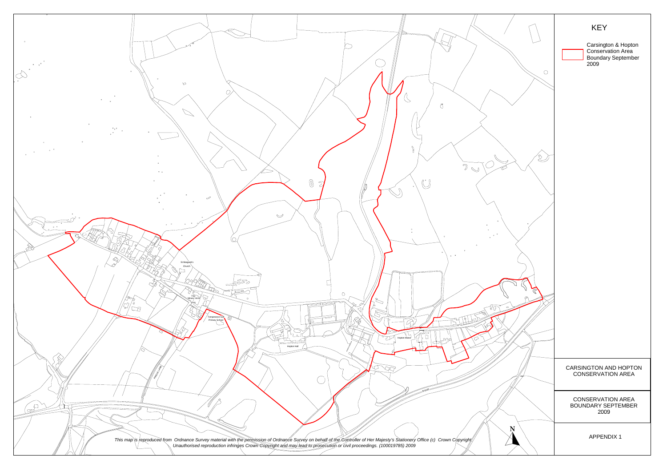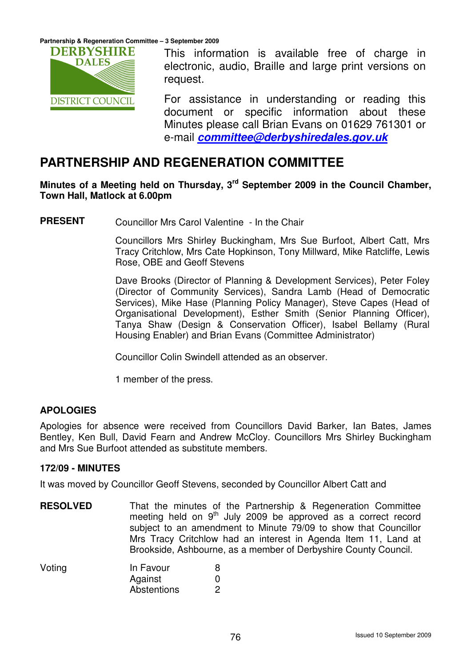

This information is available free of charge in electronic, audio, Braille and large print versions on request.

For assistance in understanding or reading this document or specific information about these Minutes please call Brian Evans on 01629 761301 or e-mail **committee@derbyshiredales.gov.uk**

# **PARTNERSHIP AND REGENERATION COMMITTEE**

### **Minutes of a Meeting held on Thursday, 3rd September 2009 in the Council Chamber, Town Hall, Matlock at 6.00pm**

**PRESENT** Councillor Mrs Carol Valentine - In the Chair

Councillors Mrs Shirley Buckingham, Mrs Sue Burfoot, Albert Catt, Mrs Tracy Critchlow, Mrs Cate Hopkinson, Tony Millward, Mike Ratcliffe, Lewis Rose, OBE and Geoff Stevens

Dave Brooks (Director of Planning & Development Services), Peter Foley (Director of Community Services), Sandra Lamb (Head of Democratic Services), Mike Hase (Planning Policy Manager), Steve Capes (Head of Organisational Development), Esther Smith (Senior Planning Officer), Tanya Shaw (Design & Conservation Officer), Isabel Bellamy (Rural Housing Enabler) and Brian Evans (Committee Administrator)

Councillor Colin Swindell attended as an observer.

1 member of the press.

### **APOLOGIES**

Apologies for absence were received from Councillors David Barker, Ian Bates, James Bentley, Ken Bull, David Fearn and Andrew McCloy. Councillors Mrs Shirley Buckingham and Mrs Sue Burfoot attended as substitute members.

#### **172/09 - MINUTES**

It was moved by Councillor Geoff Stevens, seconded by Councillor Albert Catt and

**RESOLVED** That the minutes of the Partnership & Regeneration Committee meeting held on  $9<sup>th</sup>$  July 2009 be approved as a correct record subject to an amendment to Minute 79/09 to show that Councillor Mrs Tracy Critchlow had an interest in Agenda Item 11, Land at Brookside, Ashbourne, as a member of Derbyshire County Council.

| Voting | In Favour   |  |
|--------|-------------|--|
|        | Against     |  |
|        | Abstentions |  |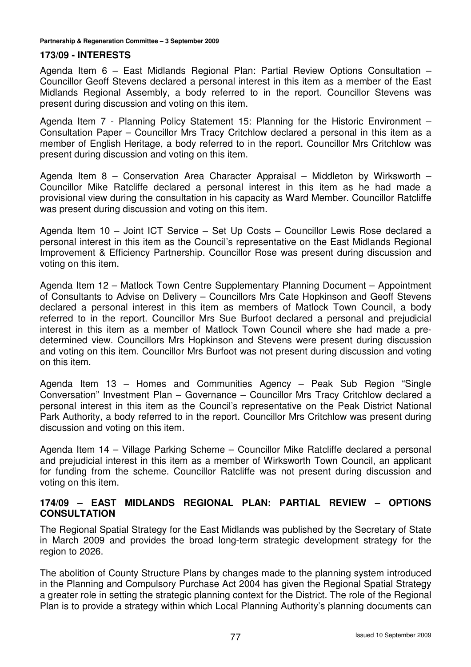#### **173/09 - INTERESTS**

Agenda Item 6 – East Midlands Regional Plan: Partial Review Options Consultation – Councillor Geoff Stevens declared a personal interest in this item as a member of the East Midlands Regional Assembly, a body referred to in the report. Councillor Stevens was present during discussion and voting on this item.

Agenda Item 7 - Planning Policy Statement 15: Planning for the Historic Environment – Consultation Paper – Councillor Mrs Tracy Critchlow declared a personal in this item as a member of English Heritage, a body referred to in the report. Councillor Mrs Critchlow was present during discussion and voting on this item.

Agenda Item 8 – Conservation Area Character Appraisal – Middleton by Wirksworth – Councillor Mike Ratcliffe declared a personal interest in this item as he had made a provisional view during the consultation in his capacity as Ward Member. Councillor Ratcliffe was present during discussion and voting on this item.

Agenda Item 10 – Joint ICT Service – Set Up Costs – Councillor Lewis Rose declared a personal interest in this item as the Council's representative on the East Midlands Regional Improvement & Efficiency Partnership. Councillor Rose was present during discussion and voting on this item.

Agenda Item 12 – Matlock Town Centre Supplementary Planning Document – Appointment of Consultants to Advise on Delivery – Councillors Mrs Cate Hopkinson and Geoff Stevens declared a personal interest in this item as members of Matlock Town Council, a body referred to in the report. Councillor Mrs Sue Burfoot declared a personal and prejudicial interest in this item as a member of Matlock Town Council where she had made a predetermined view. Councillors Mrs Hopkinson and Stevens were present during discussion and voting on this item. Councillor Mrs Burfoot was not present during discussion and voting on this item.

Agenda Item 13 – Homes and Communities Agency – Peak Sub Region "Single Conversation" Investment Plan – Governance – Councillor Mrs Tracy Critchlow declared a personal interest in this item as the Council's representative on the Peak District National Park Authority, a body referred to in the report. Councillor Mrs Critchlow was present during discussion and voting on this item.

Agenda Item 14 – Village Parking Scheme – Councillor Mike Ratcliffe declared a personal and prejudicial interest in this item as a member of Wirksworth Town Council, an applicant for funding from the scheme. Councillor Ratcliffe was not present during discussion and voting on this item.

#### **174/09 – EAST MIDLANDS REGIONAL PLAN: PARTIAL REVIEW – OPTIONS CONSULTATION**

The Regional Spatial Strategy for the East Midlands was published by the Secretary of State in March 2009 and provides the broad long-term strategic development strategy for the region to 2026.

The abolition of County Structure Plans by changes made to the planning system introduced in the Planning and Compulsory Purchase Act 2004 has given the Regional Spatial Strategy a greater role in setting the strategic planning context for the District. The role of the Regional Plan is to provide a strategy within which Local Planning Authority's planning documents can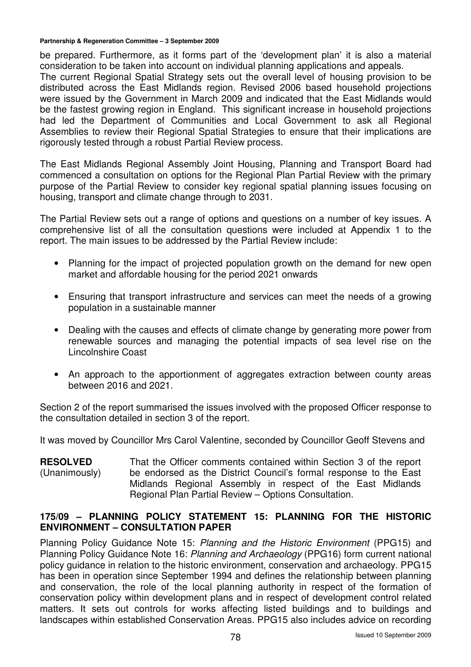be prepared. Furthermore, as it forms part of the 'development plan' it is also a material consideration to be taken into account on individual planning applications and appeals.

The current Regional Spatial Strategy sets out the overall level of housing provision to be distributed across the East Midlands region. Revised 2006 based household projections were issued by the Government in March 2009 and indicated that the East Midlands would be the fastest growing region in England. This significant increase in household projections had led the Department of Communities and Local Government to ask all Regional Assemblies to review their Regional Spatial Strategies to ensure that their implications are rigorously tested through a robust Partial Review process.

The East Midlands Regional Assembly Joint Housing, Planning and Transport Board had commenced a consultation on options for the Regional Plan Partial Review with the primary purpose of the Partial Review to consider key regional spatial planning issues focusing on housing, transport and climate change through to 2031.

The Partial Review sets out a range of options and questions on a number of key issues. A comprehensive list of all the consultation questions were included at Appendix 1 to the report. The main issues to be addressed by the Partial Review include:

- Planning for the impact of projected population growth on the demand for new open market and affordable housing for the period 2021 onwards
- Ensuring that transport infrastructure and services can meet the needs of a growing population in a sustainable manner
- Dealing with the causes and effects of climate change by generating more power from renewable sources and managing the potential impacts of sea level rise on the Lincolnshire Coast
- An approach to the apportionment of aggregates extraction between county areas between 2016 and 2021.

Section 2 of the report summarised the issues involved with the proposed Officer response to the consultation detailed in section 3 of the report.

It was moved by Councillor Mrs Carol Valentine, seconded by Councillor Geoff Stevens and

**RESOLVED**  (Unanimously) That the Officer comments contained within Section 3 of the report be endorsed as the District Council's formal response to the East Midlands Regional Assembly in respect of the East Midlands Regional Plan Partial Review – Options Consultation.

#### **175/09 – PLANNING POLICY STATEMENT 15: PLANNING FOR THE HISTORIC ENVIRONMENT – CONSULTATION PAPER**

Planning Policy Guidance Note 15: Planning and the Historic Environment (PPG15) and Planning Policy Guidance Note 16: Planning and Archaeology (PPG16) form current national policy guidance in relation to the historic environment, conservation and archaeology. PPG15 has been in operation since September 1994 and defines the relationship between planning and conservation, the role of the local planning authority in respect of the formation of conservation policy within development plans and in respect of development control related matters. It sets out controls for works affecting listed buildings and to buildings and landscapes within established Conservation Areas. PPG15 also includes advice on recording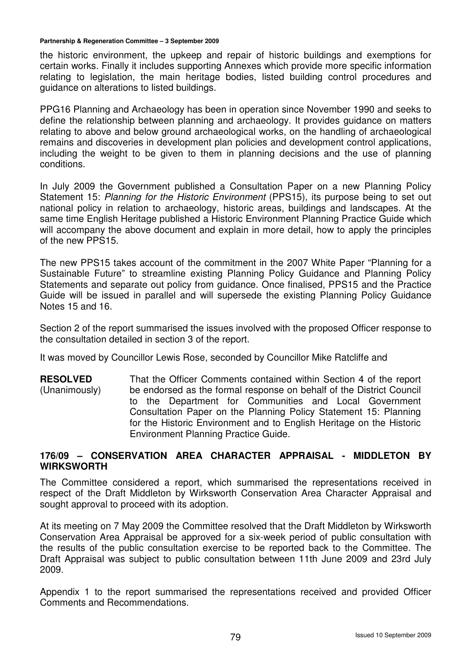the historic environment, the upkeep and repair of historic buildings and exemptions for certain works. Finally it includes supporting Annexes which provide more specific information relating to legislation, the main heritage bodies, listed building control procedures and guidance on alterations to listed buildings.

PPG16 Planning and Archaeology has been in operation since November 1990 and seeks to define the relationship between planning and archaeology. It provides guidance on matters relating to above and below ground archaeological works, on the handling of archaeological remains and discoveries in development plan policies and development control applications, including the weight to be given to them in planning decisions and the use of planning conditions.

In July 2009 the Government published a Consultation Paper on a new Planning Policy Statement 15: Planning for the Historic Environment (PPS15), its purpose being to set out national policy in relation to archaeology, historic areas, buildings and landscapes. At the same time English Heritage published a Historic Environment Planning Practice Guide which will accompany the above document and explain in more detail, how to apply the principles of the new PPS15.

The new PPS15 takes account of the commitment in the 2007 White Paper "Planning for a Sustainable Future" to streamline existing Planning Policy Guidance and Planning Policy Statements and separate out policy from guidance. Once finalised, PPS15 and the Practice Guide will be issued in parallel and will supersede the existing Planning Policy Guidance Notes 15 and 16.

Section 2 of the report summarised the issues involved with the proposed Officer response to the consultation detailed in section 3 of the report.

It was moved by Councillor Lewis Rose, seconded by Councillor Mike Ratcliffe and

**RESOLVED**  (Unanimously) That the Officer Comments contained within Section 4 of the report be endorsed as the formal response on behalf of the District Council to the Department for Communities and Local Government Consultation Paper on the Planning Policy Statement 15: Planning for the Historic Environment and to English Heritage on the Historic Environment Planning Practice Guide.

#### **176/09 – CONSERVATION AREA CHARACTER APPRAISAL - MIDDLETON BY WIRKSWORTH**

The Committee considered a report, which summarised the representations received in respect of the Draft Middleton by Wirksworth Conservation Area Character Appraisal and sought approval to proceed with its adoption.

At its meeting on 7 May 2009 the Committee resolved that the Draft Middleton by Wirksworth Conservation Area Appraisal be approved for a six-week period of public consultation with the results of the public consultation exercise to be reported back to the Committee. The Draft Appraisal was subject to public consultation between 11th June 2009 and 23rd July 2009.

Appendix 1 to the report summarised the representations received and provided Officer Comments and Recommendations.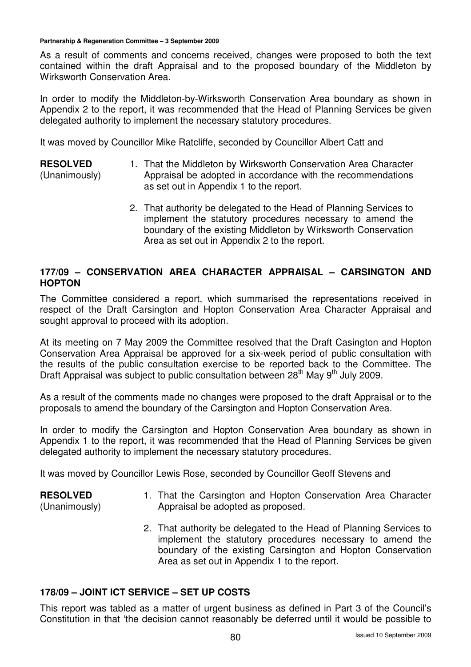**RESOLVED** 

As a result of comments and concerns received, changes were proposed to both the text contained within the draft Appraisal and to the proposed boundary of the Middleton by Wirksworth Conservation Area.

In order to modify the Middleton-by-Wirksworth Conservation Area boundary as shown in Appendix 2 to the report, it was recommended that the Head of Planning Services be given delegated authority to implement the necessary statutory procedures.

It was moved by Councillor Mike Ratcliffe, seconded by Councillor Albert Catt and

- (Unanimously) 1. That the Middleton by Wirksworth Conservation Area Character Appraisal be adopted in accordance with the recommendations as set out in Appendix 1 to the report.
	- 2. That authority be delegated to the Head of Planning Services to implement the statutory procedures necessary to amend the boundary of the existing Middleton by Wirksworth Conservation Area as set out in Appendix 2 to the report.

## **177/09 – CONSERVATION AREA CHARACTER APPRAISAL – CARSINGTON AND HOPTON**

The Committee considered a report, which summarised the representations received in respect of the Draft Carsington and Hopton Conservation Area Character Appraisal and sought approval to proceed with its adoption.

At its meeting on 7 May 2009 the Committee resolved that the Draft Casington and Hopton Conservation Area Appraisal be approved for a six-week period of public consultation with the results of the public consultation exercise to be reported back to the Committee. The Draft Appraisal was subject to public consultation between 28<sup>th</sup> May 9<sup>th</sup> July 2009.

As a result of the comments made no changes were proposed to the draft Appraisal or to the proposals to amend the boundary of the Carsington and Hopton Conservation Area.

In order to modify the Carsington and Hopton Conservation Area boundary as shown in Appendix 1 to the report, it was recommended that the Head of Planning Services be given delegated authority to implement the necessary statutory procedures.

It was moved by Councillor Lewis Rose, seconded by Councillor Geoff Stevens and

#### **RESOLVED**  (Unanimously) 1. That the Carsington and Hopton Conservation Area Character Appraisal be adopted as proposed.

2. That authority be delegated to the Head of Planning Services to implement the statutory procedures necessary to amend the boundary of the existing Carsington and Hopton Conservation Area as set out in Appendix 1 to the report.

### **178/09 – JOINT ICT SERVICE – SET UP COSTS**

This report was tabled as a matter of urgent business as defined in Part 3 of the Council's Constitution in that 'the decision cannot reasonably be deferred until it would be possible to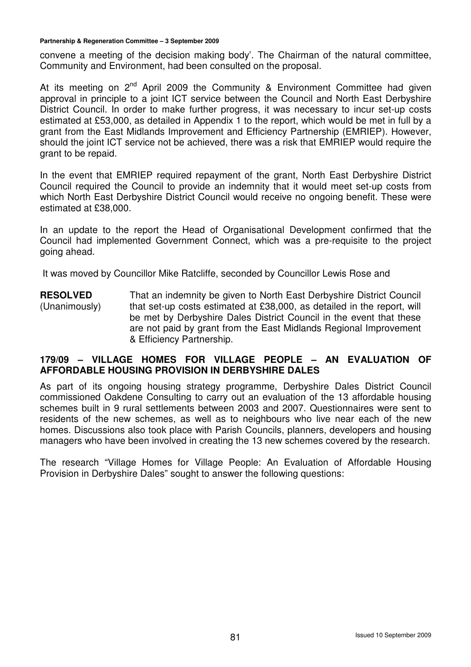convene a meeting of the decision making body'. The Chairman of the natural committee, Community and Environment, had been consulted on the proposal.

At its meeting on  $2^{nd}$  April 2009 the Community & Environment Committee had given approval in principle to a joint ICT service between the Council and North East Derbyshire District Council. In order to make further progress, it was necessary to incur set-up costs estimated at £53,000, as detailed in Appendix 1 to the report, which would be met in full by a grant from the East Midlands Improvement and Efficiency Partnership (EMRIEP). However, should the joint ICT service not be achieved, there was a risk that EMRIEP would require the grant to be repaid.

In the event that EMRIEP required repayment of the grant, North East Derbyshire District Council required the Council to provide an indemnity that it would meet set-up costs from which North East Derbyshire District Council would receive no ongoing benefit. These were estimated at £38,000.

In an update to the report the Head of Organisational Development confirmed that the Council had implemented Government Connect, which was a pre-requisite to the project going ahead.

It was moved by Councillor Mike Ratcliffe, seconded by Councillor Lewis Rose and

**RESOLVED**  (Unanimously) That an indemnity be given to North East Derbyshire District Council that set-up costs estimated at £38,000, as detailed in the report, will be met by Derbyshire Dales District Council in the event that these are not paid by grant from the East Midlands Regional Improvement & Efficiency Partnership.

#### **179/09 – VILLAGE HOMES FOR VILLAGE PEOPLE – AN EVALUATION OF AFFORDABLE HOUSING PROVISION IN DERBYSHIRE DALES**

As part of its ongoing housing strategy programme, Derbyshire Dales District Council commissioned Oakdene Consulting to carry out an evaluation of the 13 affordable housing schemes built in 9 rural settlements between 2003 and 2007. Questionnaires were sent to residents of the new schemes, as well as to neighbours who live near each of the new homes. Discussions also took place with Parish Councils, planners, developers and housing managers who have been involved in creating the 13 new schemes covered by the research.

The research "Village Homes for Village People: An Evaluation of Affordable Housing Provision in Derbyshire Dales" sought to answer the following questions: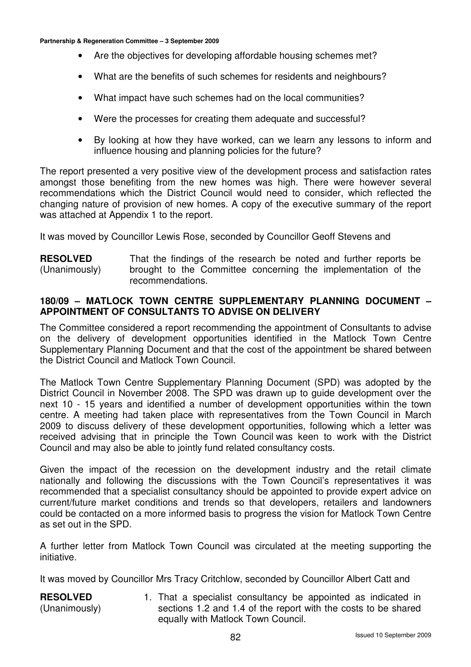- Are the objectives for developing affordable housing schemes met?
- What are the benefits of such schemes for residents and neighbours?
- What impact have such schemes had on the local communities?
- Were the processes for creating them adequate and successful?
- By looking at how they have worked, can we learn any lessons to inform and influence housing and planning policies for the future?

The report presented a very positive view of the development process and satisfaction rates amongst those benefiting from the new homes was high. There were however several recommendations which the District Council would need to consider, which reflected the changing nature of provision of new homes. A copy of the executive summary of the report was attached at Appendix 1 to the report.

It was moved by Councillor Lewis Rose, seconded by Councillor Geoff Stevens and

**RESOLVED**  (Unanimously) That the findings of the research be noted and further reports be brought to the Committee concerning the implementation of the recommendations.

#### **180/09 – MATLOCK TOWN CENTRE SUPPLEMENTARY PLANNING DOCUMENT – APPOINTMENT OF CONSULTANTS TO ADVISE ON DELIVERY**

The Committee considered a report recommending the appointment of Consultants to advise on the delivery of development opportunities identified in the Matlock Town Centre Supplementary Planning Document and that the cost of the appointment be shared between the District Council and Matlock Town Council.

The Matlock Town Centre Supplementary Planning Document (SPD) was adopted by the District Council in November 2008. The SPD was drawn up to guide development over the next 10 - 15 years and identified a number of development opportunities within the town centre. A meeting had taken place with representatives from the Town Council in March 2009 to discuss delivery of these development opportunities, following which a letter was received advising that in principle the Town Council was keen to work with the District Council and may also be able to jointly fund related consultancy costs.

Given the impact of the recession on the development industry and the retail climate nationally and following the discussions with the Town Council's representatives it was recommended that a specialist consultancy should be appointed to provide expert advice on current/future market conditions and trends so that developers, retailers and landowners could be contacted on a more informed basis to progress the vision for Matlock Town Centre as set out in the SPD.

A further letter from Matlock Town Council was circulated at the meeting supporting the initiative.

It was moved by Councillor Mrs Tracy Critchlow, seconded by Councillor Albert Catt and

**RESOLVED**  (Unanimously) 1. That a specialist consultancy be appointed as indicated in sections 1.2 and 1.4 of the report with the costs to be shared equally with Matlock Town Council.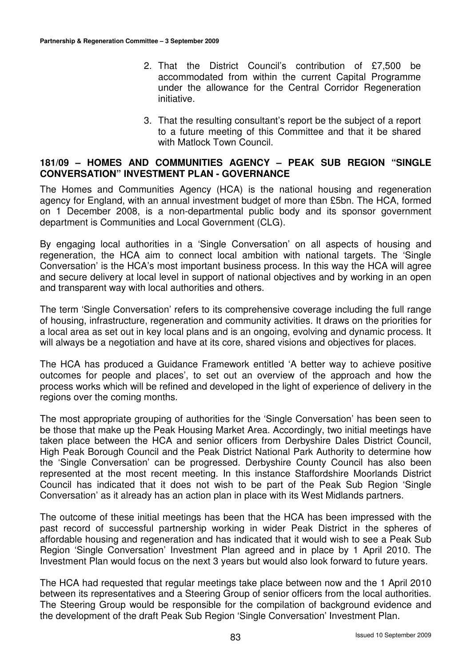- 2. That the District Council's contribution of £7,500 be accommodated from within the current Capital Programme under the allowance for the Central Corridor Regeneration initiative.
- 3. That the resulting consultant's report be the subject of a report to a future meeting of this Committee and that it be shared with Matlock Town Council.

#### **181/09 – HOMES AND COMMUNITIES AGENCY – PEAK SUB REGION "SINGLE CONVERSATION" INVESTMENT PLAN - GOVERNANCE**

The Homes and Communities Agency (HCA) is the national housing and regeneration agency for England, with an annual investment budget of more than £5bn. The HCA, formed on 1 December 2008, is a non-departmental public body and its sponsor government department is Communities and Local Government (CLG).

By engaging local authorities in a 'Single Conversation' on all aspects of housing and regeneration, the HCA aim to connect local ambition with national targets. The 'Single Conversation' is the HCA's most important business process. In this way the HCA will agree and secure delivery at local level in support of national objectives and by working in an open and transparent way with local authorities and others.

The term 'Single Conversation' refers to its comprehensive coverage including the full range of housing, infrastructure, regeneration and community activities. It draws on the priorities for a local area as set out in key local plans and is an ongoing, evolving and dynamic process. It will always be a negotiation and have at its core, shared visions and objectives for places.

The HCA has produced a Guidance Framework entitled 'A better way to achieve positive outcomes for people and places', to set out an overview of the approach and how the process works which will be refined and developed in the light of experience of delivery in the regions over the coming months.

The most appropriate grouping of authorities for the 'Single Conversation' has been seen to be those that make up the Peak Housing Market Area. Accordingly, two initial meetings have taken place between the HCA and senior officers from Derbyshire Dales District Council, High Peak Borough Council and the Peak District National Park Authority to determine how the 'Single Conversation' can be progressed. Derbyshire County Council has also been represented at the most recent meeting. In this instance Staffordshire Moorlands District Council has indicated that it does not wish to be part of the Peak Sub Region 'Single Conversation' as it already has an action plan in place with its West Midlands partners.

The outcome of these initial meetings has been that the HCA has been impressed with the past record of successful partnership working in wider Peak District in the spheres of affordable housing and regeneration and has indicated that it would wish to see a Peak Sub Region 'Single Conversation' Investment Plan agreed and in place by 1 April 2010. The Investment Plan would focus on the next 3 years but would also look forward to future years.

The HCA had requested that regular meetings take place between now and the 1 April 2010 between its representatives and a Steering Group of senior officers from the local authorities. The Steering Group would be responsible for the compilation of background evidence and the development of the draft Peak Sub Region 'Single Conversation' Investment Plan.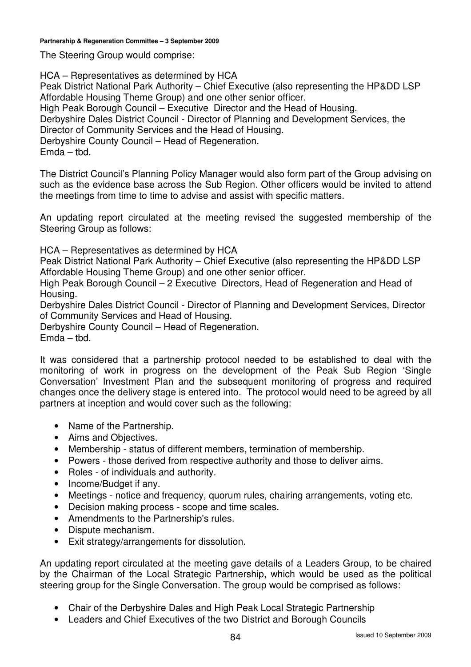The Steering Group would comprise:

HCA – Representatives as determined by HCA Peak District National Park Authority – Chief Executive (also representing the HP&DD LSP Affordable Housing Theme Group) and one other senior officer. High Peak Borough Council – Executive Director and the Head of Housing. Derbyshire Dales District Council - Director of Planning and Development Services, the Director of Community Services and the Head of Housing. Derbyshire County Council – Head of Regeneration. Emda – tbd.

The District Council's Planning Policy Manager would also form part of the Group advising on such as the evidence base across the Sub Region. Other officers would be invited to attend the meetings from time to time to advise and assist with specific matters.

An updating report circulated at the meeting revised the suggested membership of the Steering Group as follows:

HCA – Representatives as determined by HCA

Peak District National Park Authority – Chief Executive (also representing the HP&DD LSP Affordable Housing Theme Group) and one other senior officer.

High Peak Borough Council – 2 Executive Directors, Head of Regeneration and Head of Housing.

Derbyshire Dales District Council - Director of Planning and Development Services, Director of Community Services and Head of Housing.

Derbyshire County Council – Head of Regeneration.

Emda – tbd.

It was considered that a partnership protocol needed to be established to deal with the monitoring of work in progress on the development of the Peak Sub Region 'Single Conversation' Investment Plan and the subsequent monitoring of progress and required changes once the delivery stage is entered into. The protocol would need to be agreed by all partners at inception and would cover such as the following:

- Name of the Partnership.
- Aims and Objectives.
- Membership status of different members, termination of membership.
- Powers those derived from respective authority and those to deliver aims.
- Roles of individuals and authority.
- Income/Budget if any.
- Meetings notice and frequency, quorum rules, chairing arrangements, voting etc.
- Decision making process scope and time scales.
- Amendments to the Partnership's rules.
- Dispute mechanism.
- Exit strategy/arrangements for dissolution.

An updating report circulated at the meeting gave details of a Leaders Group, to be chaired by the Chairman of the Local Strategic Partnership, which would be used as the political steering group for the Single Conversation. The group would be comprised as follows:

- Chair of the Derbyshire Dales and High Peak Local Strategic Partnership
- Leaders and Chief Executives of the two District and Borough Councils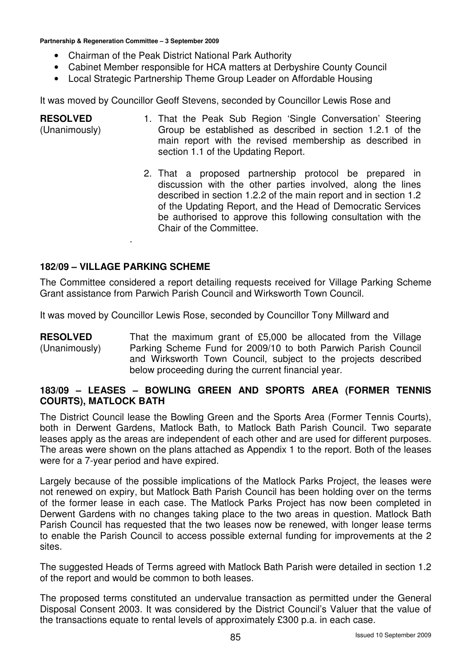- Chairman of the Peak District National Park Authority
- Cabinet Member responsible for HCA matters at Derbyshire County Council
- Local Strategic Partnership Theme Group Leader on Affordable Housing

It was moved by Councillor Geoff Stevens, seconded by Councillor Lewis Rose and

- **RESOLVED**  (Unanimously) 1. That the Peak Sub Region 'Single Conversation' Steering Group be established as described in section 1.2.1 of the main report with the revised membership as described in section 1.1 of the Updating Report.
	- 2. That a proposed partnership protocol be prepared in discussion with the other parties involved, along the lines described in section 1.2.2 of the main report and in section 1.2 of the Updating Report, and the Head of Democratic Services be authorised to approve this following consultation with the Chair of the Committee.

#### **182/09 – VILLAGE PARKING SCHEME**

.

The Committee considered a report detailing requests received for Village Parking Scheme Grant assistance from Parwich Parish Council and Wirksworth Town Council.

It was moved by Councillor Lewis Rose, seconded by Councillor Tony Millward and

**RESOLVED**  (Unanimously) That the maximum grant of £5,000 be allocated from the Village Parking Scheme Fund for 2009/10 to both Parwich Parish Council and Wirksworth Town Council, subject to the projects described below proceeding during the current financial year.

#### **183/09 – LEASES – BOWLING GREEN AND SPORTS AREA (FORMER TENNIS COURTS), MATLOCK BATH**

The District Council lease the Bowling Green and the Sports Area (Former Tennis Courts), both in Derwent Gardens, Matlock Bath, to Matlock Bath Parish Council. Two separate leases apply as the areas are independent of each other and are used for different purposes. The areas were shown on the plans attached as Appendix 1 to the report. Both of the leases were for a 7-year period and have expired.

Largely because of the possible implications of the Matlock Parks Project, the leases were not renewed on expiry, but Matlock Bath Parish Council has been holding over on the terms of the former lease in each case. The Matlock Parks Project has now been completed in Derwent Gardens with no changes taking place to the two areas in question. Matlock Bath Parish Council has requested that the two leases now be renewed, with longer lease terms to enable the Parish Council to access possible external funding for improvements at the 2 sites.

The suggested Heads of Terms agreed with Matlock Bath Parish were detailed in section 1.2 of the report and would be common to both leases.

The proposed terms constituted an undervalue transaction as permitted under the General Disposal Consent 2003. It was considered by the District Council's Valuer that the value of the transactions equate to rental levels of approximately £300 p.a. in each case.